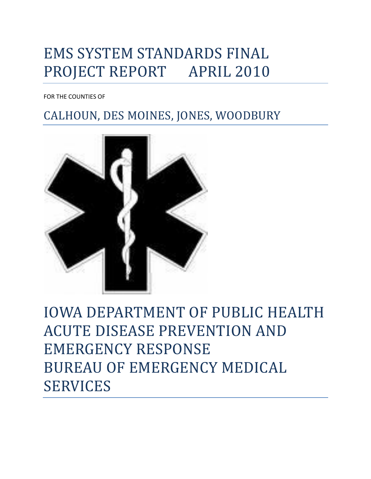# EMS SYSTEM STANDARDS FINAL PROJECT REPORT APRIL 2010

FOR THE COUNTIES OF

# CALHOUN, DES MOINES, JONES, WOODBURY



IOWA DEPARTMENT OF PUBLIC HEALTH ACUTE DISEASE PREVENTION AND EMERGENCY RESPONSE BUREAU OF EMERGENCY MEDICAL SERVICES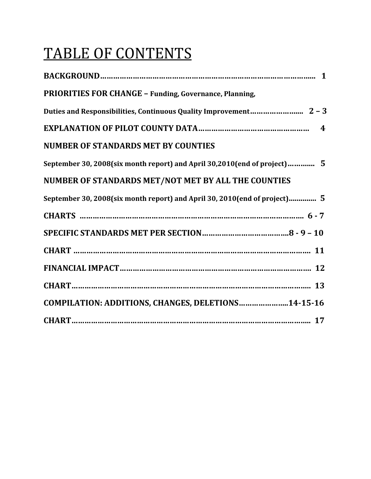# TABLE OF CONTENTS

| <b>PRIORITIES FOR CHANGE - Funding, Governance, Planning,</b>             |
|---------------------------------------------------------------------------|
|                                                                           |
|                                                                           |
| <b>NUMBER OF STANDARDS MET BY COUNTIES</b>                                |
| September 30, 2008(six month report) and April 30,2010(end of project) 5  |
| NUMBER OF STANDARDS MET/NOT MET BY ALL THE COUNTIES                       |
| September 30, 2008(six month report) and April 30, 2010(end of project) 5 |
|                                                                           |
|                                                                           |
|                                                                           |
|                                                                           |
|                                                                           |
| COMPILATION: ADDITIONS, CHANGES, DELETIONS14-15-16                        |
|                                                                           |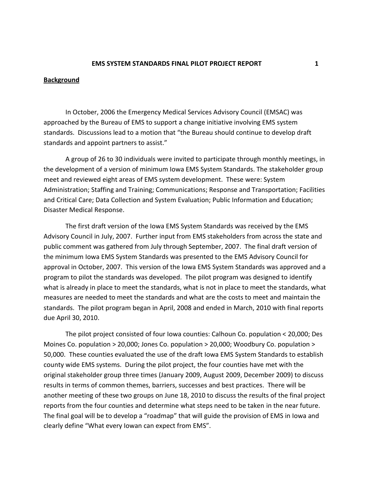#### **Background**

In October, 2006 the Emergency Medical Services Advisory Council (EMSAC) was approached by the Bureau of EMS to support a change initiative involving EMS system standards. Discussions lead to a motion that "the Bureau should continue to develop draft standards and appoint partners to assist."

A group of 26 to 30 individuals were invited to participate through monthly meetings, in the development of a version of minimum Iowa EMS System Standards. The stakeholder group meet and reviewed eight areas of EMS system development. These were: System Administration; Staffing and Training; Communications; Response and Transportation; Facilities and Critical Care; Data Collection and System Evaluation; Public Information and Education; Disaster Medical Response.

The first draft version of the Iowa EMS System Standards was received by the EMS Advisory Council in July, 2007. Further input from EMS stakeholders from across the state and public comment was gathered from July through September, 2007. The final draft version of the minimum Iowa EMS System Standards was presented to the EMS Advisory Council for approval in October, 2007. This version of the Iowa EMS System Standards was approved and a program to pilot the standards was developed. The pilot program was designed to identify what is already in place to meet the standards, what is not in place to meet the standards, what measures are needed to meet the standards and what are the costs to meet and maintain the standards. The pilot program began in April, 2008 and ended in March, 2010 with final reports due April 30, 2010.

The pilot project consisted of four Iowa counties: Calhoun Co. population < 20,000; Des Moines Co. population > 20,000; Jones Co. population > 20,000; Woodbury Co. population > 50,000. These counties evaluated the use of the draft Iowa EMS System Standards to establish county wide EMS systems. During the pilot project, the four counties have met with the original stakeholder group three times (January 2009, August 2009, December 2009) to discuss results in terms of common themes, barriers, successes and best practices. There will be another meeting of these two groups on June 18, 2010 to discuss the results of the final project reports from the four counties and determine what steps need to be taken in the near future. The final goal will be to develop a "roadmap" that will guide the provision of EMS in Iowa and clearly define "What every Iowan can expect from EMS".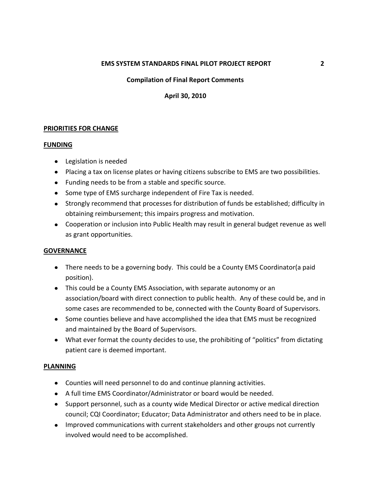#### **EMS SYSTEM STANDARDS FINAL PILOT PROJECT REPORT 2**

# **Compilation of Final Report Comments**

**April 30, 2010**

#### **PRIORITIES FOR CHANGE**

#### **FUNDING**

- Legislation is needed
- Placing a tax on license plates or having citizens subscribe to EMS are two possibilities.
- Funding needs to be from a stable and specific source.
- Some type of EMS surcharge independent of Fire Tax is needed.
- Strongly recommend that processes for distribution of funds be established; difficulty in obtaining reimbursement; this impairs progress and motivation.
- Cooperation or inclusion into Public Health may result in general budget revenue as well as grant opportunities.

#### **GOVERNANCE**

- There needs to be a governing body. This could be a County EMS Coordinator(a paid position).
- This could be a County EMS Association, with separate autonomy or an association/board with direct connection to public health. Any of these could be, and in some cases are recommended to be, connected with the County Board of Supervisors.
- Some counties believe and have accomplished the idea that EMS must be recognized and maintained by the Board of Supervisors.
- What ever format the county decides to use, the prohibiting of "politics" from dictating patient care is deemed important.

#### **PLANNING**

- Counties will need personnel to do and continue planning activities.
- A full time EMS Coordinator/Administrator or board would be needed.
- Support personnel, such as a county wide Medical Director or active medical direction council; CQI Coordinator; Educator; Data Administrator and others need to be in place.
- Improved communications with current stakeholders and other groups not currently involved would need to be accomplished.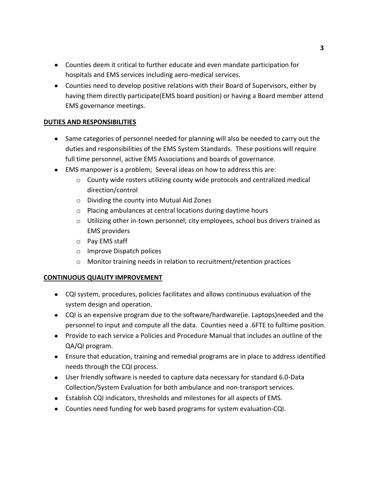- Counties deem it critical to further educate and even mandate participation for hospitals and EMS services including aero-medical services.
- Counties need to develop positive relations with their Board of Supervisors, either by having them directly participate(EMS board position) or having a Board member attend EMS governance meetings.

# **DUTIES AND RESPONSIBILITIES**

- Same categories of personnel needed for planning will also be needed to carry out the duties and responsibilities of the EMS System Standards. These positions will require full time personnel, active EMS Associations and boards of governance.
- EMS manpower is a problem; Several ideas on how to address this are:
	- $\circ$  County wide rosters utilizing county wide protocols and centralized medical direction/control
	- o Dividing the county into Mutual Aid Zones
	- o Placing ambulances at central locations during daytime hours
	- o Utilizing other in-town personnel; city employees, school bus drivers trained as EMS providers
	- o Pay EMS staff
	- o Improve Dispatch polices
	- o Monitor training needs in relation to recruitment/retention practices

#### **CONTINUOUS QUALITY IMPROVEMENT**

- CQI system, procedures, policies facilitates and allows continuous evaluation of the system design and operation.
- CQI is an expensive program due to the software/hardware(ie. Laptops)needed and the personnel to input and compute all the data. Counties need a .6FTE to fulltime position.
- Provide to each service a Policies and Procedure Manual that includes an outline of the QA/QI program.
- Ensure that education, training and remedial programs are in place to address identified needs through the CQI process.
- User friendly software is needed to capture data necessary for standard 6.0-Data Collection/System Evaluation for both ambulance and non-transport services.
- Establish CQI indicators, thresholds and milestones for all aspects of EMS.
- Counties need funding for web based programs for system evaluation-CQI.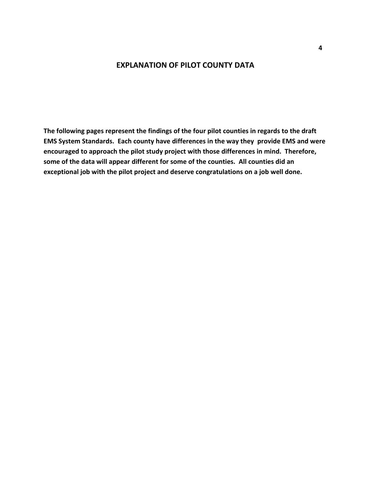# **EXPLANATION OF PILOT COUNTY DATA**

**The following pages represent the findings of the four pilot counties in regards to the draft EMS System Standards. Each county have differences in the way they provide EMS and were encouraged to approach the pilot study project with those differences in mind. Therefore, some of the data will appear different for some of the counties. All counties did an exceptional job with the pilot project and deserve congratulations on a job well done.**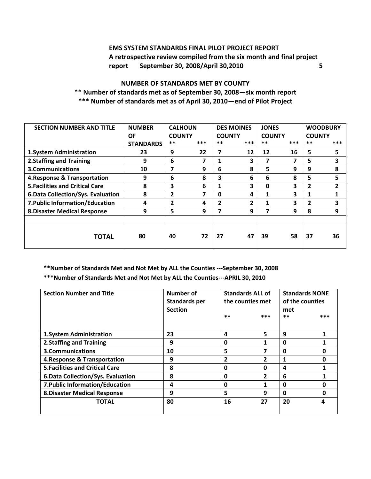# **EMS SYSTEM STANDARDS FINAL PILOT PROJECT REPORT A retrospective review compiled from the six month and final project report September 30, 2008/April 30,2010 5**

# **NUMBER OF STANDARDS MET BY COUNTY** \*\* **Number of standards met as of September 30, 2008—six month report \*\*\* Number of standards met as of April 30, 2010—end of Pilot Project**

| <b>SECTION NUMBER AND TITLE</b>        | <b>NUMBER</b>    | <b>CALHOUN</b> |     | <b>DES MOINES</b><br><b>JONES</b> |     |             | <b>WOODBURY</b> |      |                |
|----------------------------------------|------------------|----------------|-----|-----------------------------------|-----|-------------|-----------------|------|----------------|
|                                        | ΟF               | <b>COUNTY</b>  |     | <b>COUNTY</b><br><b>COUNTY</b>    |     |             | <b>COUNTY</b>   |      |                |
|                                        | <b>STANDARDS</b> | $***$          | *** | $***$                             | *** | $***$       | ***             | $**$ | ***            |
| 1. System Administration               | 23               | 9              | 22  | 7                                 | 12  | 12          | 16              | 5    | 5              |
| 2. Staffing and Training               | 9                | 6              | 7   | 1                                 | 3   |             |                 | 5    | 3              |
| 3. Communications                      | 10               | 7              | 9   | 6                                 | 8   | 5           | 9               | 9    | 8              |
| 4. Response & Transportation           | 9                | 6              | 8   | 3                                 | 6   | 6           | 8               | 5.   | 5              |
| <b>5. Facilities and Critical Care</b> | 8                | 3              | 6   | 1                                 | 3   | $\mathbf 0$ | 3               | 2    | $\overline{2}$ |
| 6. Data Collection/Sys. Evaluation     | 8                | 2              | 7   | 0                                 | 4   | 1           | 3               |      | 1              |
| 7. Public Information/Education        | 4                | 2              | 4   | 2                                 | 2   | 1           | 3               | 2    | 3              |
| <b>8. Disaster Medical Response</b>    | 9                | 5              | 9   | 7                                 | 9   | 7           | 9               | 8    | 9              |
|                                        |                  |                |     |                                   |     |             |                 |      |                |
| <b>TOTAL</b>                           | 80               | 40             | 72  | 27                                | 47  | 39          | 58              | 37   | 36             |
|                                        |                  |                |     |                                   |     |             |                 |      |                |

**\*\*Number of Standards Met and Not Met by ALL the Counties ---September 30, 2008** 

**\*\*\*Number of Standards Met and Not Met by ALL the Counties---APRIL 30, 2010** 

| <b>Section Number and Title</b>        | Number of<br><b>Standards per</b><br><b>Section</b> | <b>Standards ALL of</b><br>the counties met<br>$**$<br>*** |    |             |   | of the counties<br>met<br>$***$ | <b>Standards NONE</b><br>*** |
|----------------------------------------|-----------------------------------------------------|------------------------------------------------------------|----|-------------|---|---------------------------------|------------------------------|
| <b>1.System Administration</b>         | 23                                                  | $\overline{a}$                                             | 5  | 9           |   |                                 |                              |
| <b>2.Staffing and Training</b>         | 9                                                   | 0                                                          |    | $\mathbf 0$ |   |                                 |                              |
| 3. Communications                      | 10                                                  | 5                                                          |    | 0           |   |                                 |                              |
| 4. Response & Transportation           | 9                                                   | $\overline{2}$                                             | 2  | 1           | O |                                 |                              |
| <b>5. Facilities and Critical Care</b> | 8                                                   | 0                                                          | 0  | 4           |   |                                 |                              |
| 6. Data Collection/Sys. Evaluation     | 8                                                   | 0                                                          | 2  | 6           |   |                                 |                              |
| 7. Public Information/Education        | 4                                                   | 0                                                          |    | 0           | n |                                 |                              |
| <b>8. Disaster Medical Response</b>    | 9                                                   | 5                                                          | 9  | $\mathbf 0$ | Ω |                                 |                              |
| <b>TOTAL</b>                           | 80                                                  | 16                                                         | 27 | 20          |   |                                 |                              |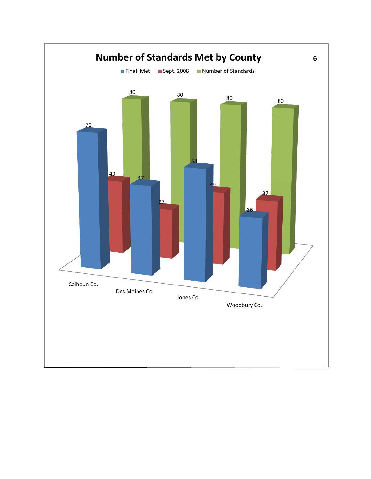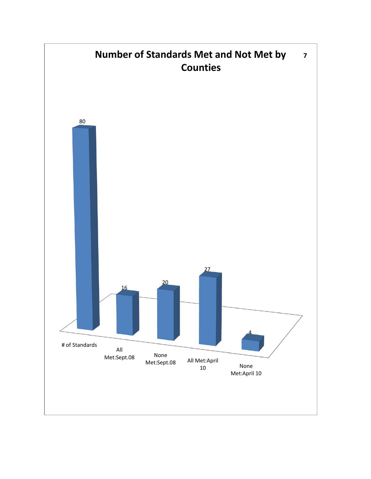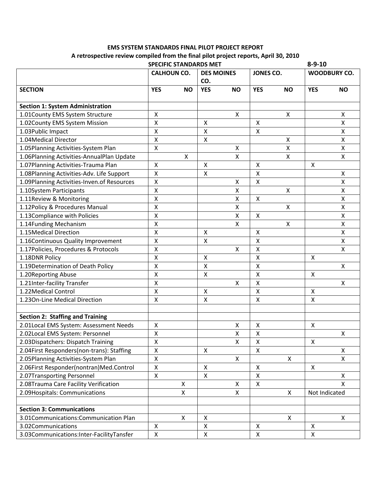# **EMS SYSTEM STANDARDS FINAL PILOT PROJECT REPORT A retrospective review compiled from the final pilot project reports, April 30, 2010**

|                                            | <b>SPECIFIC STANDARDS MET</b> |              |                              |           |                    |               | $8 - 9 - 10$        |           |  |
|--------------------------------------------|-------------------------------|--------------|------------------------------|-----------|--------------------|---------------|---------------------|-----------|--|
|                                            | <b>CALHOUN CO.</b>            |              | <b>DES MOINES</b><br>CO.     |           | JONES CO.          |               | <b>WOODBURY CO.</b> |           |  |
| <b>SECTION</b>                             | <b>YES</b>                    | <b>NO</b>    | <b>YES</b>                   | <b>NO</b> | <b>YES</b>         | <b>NO</b>     | <b>YES</b>          | <b>NO</b> |  |
|                                            |                               |              |                              |           |                    |               |                     |           |  |
| <b>Section 1: System Administration</b>    |                               |              |                              |           |                    |               |                     |           |  |
| 1.01County EMS System Structure            | $\pmb{\mathsf{X}}$            |              |                              | Χ         |                    | $\mathsf{X}$  |                     | Χ         |  |
| 1.02County EMS System Mission              | $\pmb{\mathsf{X}}$            |              | X                            |           | Χ                  |               |                     | Χ         |  |
| 1.03Public Impact                          | $\pmb{\mathsf{X}}$            |              | $\mathsf{x}$<br>$\mathsf{X}$ |           | X                  |               |                     | Χ         |  |
| 1.04Medical Director                       | $\pmb{\mathsf{X}}$            |              |                              |           |                    | $\mathsf{x}$  |                     | X         |  |
| 1.05Planning Activities-System Plan        | $\pmb{\mathsf{X}}$            |              |                              | Χ         |                    | X             |                     | Χ         |  |
| 1.06Planning Activities-AnnualPlan Update  |                               | X            |                              | X         |                    | $\mathsf{X}$  |                     | X         |  |
| 1.07Planning Activities-Trauma Plan        | $\pmb{\mathsf{X}}$            |              | X                            |           | $\pmb{\mathsf{X}}$ |               | $\pmb{\times}$      |           |  |
| 1.08Planning Activities-Adv. Life Support  | Χ                             |              | X                            |           | Χ                  |               |                     | Χ         |  |
| 1.09Planning Activities-Inven.of Resources | Χ                             |              |                              | X         | X                  |               |                     | Χ         |  |
| 1.10System Participants                    | $\pmb{\mathsf{X}}$            |              |                              | Χ         |                    | X             |                     | X         |  |
| 1.11Review & Monitoring                    | $\pmb{\mathsf{X}}$            |              |                              | X         | X                  |               |                     | Χ         |  |
| 1.12Policy & Procedures Manual             | Χ                             |              |                              | X         |                    | X             |                     | Χ         |  |
| 1.13Compliance with Policies               | $\pmb{\mathsf{X}}$            |              |                              | Χ         | $\pmb{\mathsf{X}}$ |               |                     | Χ         |  |
| 1.14Funding Mechanism                      | $\pmb{\mathsf{X}}$            |              |                              | X         |                    | X             |                     | Χ         |  |
| 1.15Medical Direction                      | Χ                             |              | X                            |           | Χ                  |               |                     | Χ         |  |
| 1.16Continuous Quality Improvement         | $\pmb{\mathsf{X}}$            |              | $\mathsf{X}$                 |           | $\pmb{\mathsf{X}}$ |               |                     | X         |  |
| 1.17Policies, Procedures & Protocols       | $\pmb{\mathsf{X}}$            |              |                              | X         | $\pmb{\mathsf{X}}$ |               |                     | X         |  |
| 1.18DNR Policy                             | $\pmb{\mathsf{X}}$            |              | X                            |           | $\pmb{\mathsf{X}}$ |               | X                   |           |  |
| 1.19Determination of Death Policy          | Χ                             |              | X                            |           | Χ                  |               |                     | X         |  |
| 1.20Reporting Abuse                        | $\pmb{\mathsf{X}}$            |              | $\mathsf X$                  |           | $\pmb{\mathsf{X}}$ |               | $\pmb{\times}$      |           |  |
| 1.21Inter-facility Transfer                | $\pmb{\mathsf{X}}$            |              |                              | X         | Χ                  |               |                     | X         |  |
| 1.22Medical Control                        | $\pmb{\mathsf{X}}$            |              | X                            |           | Χ                  |               | X                   |           |  |
| 1.230n-Line Medical Direction              | $\pmb{\mathsf{X}}$            |              | $\mathsf{X}$                 |           | $\pmb{\mathsf{X}}$ |               | $\pmb{\mathsf{X}}$  |           |  |
|                                            |                               |              |                              |           |                    |               |                     |           |  |
| <b>Section 2: Staffing and Training</b>    |                               |              |                              |           |                    |               |                     |           |  |
| 2.01Local EMS System: Assessment Needs     | X                             |              |                              | Χ         | X                  |               | X                   |           |  |
| 2.02Local EMS System: Personnel            | Χ                             |              |                              | Χ         | Χ                  |               |                     | X         |  |
| 2.03Dispatchers: Dispatch Training         | $\pmb{\mathsf{X}}$            |              |                              | X         | X                  |               | $\mathsf{X}$        |           |  |
| 2.04First Responders(non-trans): Staffing  | $\pmb{\mathsf{X}}$            |              | X                            |           | $\pmb{\mathsf{X}}$ |               |                     | Χ         |  |
| 2.05Planning Activities-System Plan        | $\pmb{\mathsf{X}}$            |              |                              | X         |                    | X             |                     | X         |  |
| 2.06First Responder(nontran)Med.Control    | $\pmb{\mathsf{X}}$            |              | X                            |           | $\pmb{\mathsf{X}}$ |               | $\mathsf{X}$        |           |  |
| 2.07Transporting Personnel                 | Χ                             |              | $\mathsf{X}$                 |           | $\pmb{\mathsf{X}}$ |               |                     | X         |  |
| 2.08Trauma Care Facility Verification      |                               | X            |                              | Χ         | $\pmb{\mathsf{X}}$ |               |                     | x         |  |
| 2.09Hospitals: Communications              |                               | $\mathsf{X}$ | X                            |           | $\mathsf{X}$       | Not Indicated |                     |           |  |
|                                            |                               |              |                              |           |                    |               |                     |           |  |
| <b>Section 3: Communications</b>           |                               |              |                              |           |                    |               |                     |           |  |
| 3.01Communications:Communication Plan      |                               | X            | X                            |           |                    | $\mathsf{X}$  |                     | X         |  |
| 3.02Communications                         | $\pmb{\times}$                |              | $\pmb{\mathsf{X}}$           |           | X                  |               | $\mathsf{X}$        |           |  |
| 3.03Communications:Inter-FacilityTansfer   | $\pmb{\times}$                |              | X                            |           | $\pmb{\mathsf{X}}$ |               | $\pmb{\mathsf{X}}$  |           |  |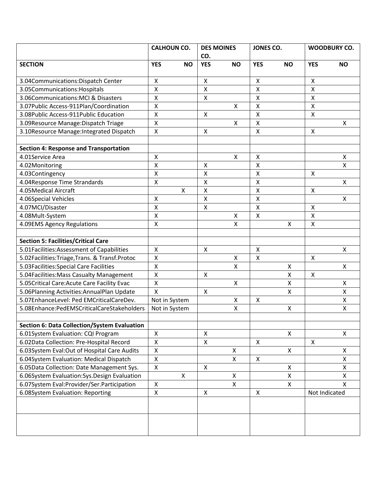|                                                 | <b>CALHOUN CO.</b> |           | <b>DES MOINES</b>  |                         | JONES CO.                 |              | <b>WOODBURY CO.</b>       |           |
|-------------------------------------------------|--------------------|-----------|--------------------|-------------------------|---------------------------|--------------|---------------------------|-----------|
|                                                 |                    |           | CO.                |                         |                           |              |                           |           |
| <b>SECTION</b>                                  | <b>YES</b>         | <b>NO</b> | <b>YES</b>         | <b>NO</b>               | <b>YES</b>                | <b>NO</b>    | <b>YES</b>                | <b>NO</b> |
|                                                 |                    |           |                    |                         |                           |              |                           |           |
| 3.04Communications: Dispatch Center             | Χ                  |           | Χ                  |                         | X                         |              | X                         |           |
| 3.05Communications: Hospitals                   | $\pmb{\mathsf{X}}$ |           | $\mathsf{X}$       |                         | $\boldsymbol{\mathsf{X}}$ |              | $\mathsf{X}$              |           |
| 3.06Communications: MCI & Disasters             | $\pmb{\mathsf{X}}$ |           | $\pmb{\mathsf{X}}$ |                         | $\boldsymbol{\mathsf{X}}$ |              | $\pmb{\mathsf{X}}$        |           |
| 3.07Public Access-911Plan/Coordination          | $\pmb{\mathsf{X}}$ |           |                    | $\pmb{\mathsf{X}}$      | $\boldsymbol{\mathsf{X}}$ |              | $\pmb{\mathsf{X}}$        |           |
| 3.08Public Access-911Public Education           | $\pmb{\mathsf{X}}$ |           | X                  |                         | $\mathsf{X}$              |              | $\mathsf{X}$              |           |
| 3.09Resource Manage:Dispatch Triage             | $\pmb{\mathsf{X}}$ |           |                    | $\mathsf{X}$            | $\boldsymbol{\mathsf{X}}$ |              |                           | X.        |
| 3.10Resource Manage: Integrated Dispatch        | Χ                  |           | Χ                  |                         | $\pmb{\times}$            |              | X                         |           |
|                                                 |                    |           |                    |                         |                           |              |                           |           |
| <b>Section 4: Response and Transportation</b>   |                    |           |                    |                         |                           |              |                           |           |
| 4.01Service Area                                | Χ                  |           |                    | Χ                       | Χ                         |              |                           | χ         |
| 4.02Monitoring                                  | $\pmb{\mathsf{X}}$ |           | Χ                  |                         | $\boldsymbol{\mathsf{X}}$ |              |                           | X         |
| 4.03Contingency                                 | X                  |           | X                  |                         | $\boldsymbol{\mathsf{X}}$ |              | X                         |           |
| 4.04Response Time Strandards                    | $\pmb{\mathsf{X}}$ |           | Χ                  |                         | $\boldsymbol{\mathsf{X}}$ |              |                           | X         |
| 4.05Medical Aircraft                            | X                  |           | $\pmb{\mathsf{X}}$ |                         | $\boldsymbol{\mathsf{X}}$ |              | $\pmb{\mathsf{X}}$        |           |
| 4.06Special Vehicles                            | X                  |           | X                  |                         | $\mathsf{X}$              |              |                           | X         |
| 4.07MCI/Disaster                                | $\pmb{\mathsf{X}}$ |           | $\pmb{\mathsf{X}}$ |                         | $\pmb{\times}$            |              | Χ                         |           |
| 4.08Mult-System                                 | Χ                  |           |                    | Χ                       | X                         |              | Χ                         |           |
| 4.09EMS Agency Regulations                      | $\pmb{\mathsf{X}}$ |           |                    | $\mathsf{X}$            |                           | Χ            | $\pmb{\mathsf{X}}$        |           |
|                                                 |                    |           |                    |                         |                           |              |                           |           |
| <b>Section 5: Facilities/Critical Care</b>      |                    |           |                    |                         |                           |              |                           |           |
| 5.01Facilities:Assessment of Capabilities       | $\pmb{\mathsf{X}}$ |           | $\pmb{\mathsf{X}}$ |                         | $\pmb{\times}$            |              |                           | X         |
| 5.02Facilities: Triage, Trans. & Transf. Protoc | $\pmb{\mathsf{X}}$ |           |                    | $\pmb{\mathsf{X}}$      | $\pmb{\mathsf{X}}$        |              | Χ                         |           |
| 5.03Facilities: Special Care Facilities         | $\pmb{\mathsf{X}}$ |           |                    | $\pmb{\mathsf{X}}$      |                           | Χ            |                           | X         |
| 5.04Facilities: Mass Casualty Management        | $\pmb{\mathsf{X}}$ |           | Χ                  |                         |                           | Χ            | $\pmb{\mathsf{X}}$        |           |
| 5.05Critical Care: Acute Care Facility Evac     | $\pmb{\mathsf{X}}$ |           |                    | $\pmb{\mathsf{X}}$      |                           | $\mathsf{X}$ |                           | Χ         |
| 5.06Planning Activities: Annual Plan Update     | $\sf X$            |           | X                  |                         |                           | Χ            |                           | Χ         |
| 5.07EnhanceLevel: Ped EMCriticalCareDev.        | Not in System      |           |                    | Χ                       | $\pmb{\times}$            |              |                           | Χ         |
| 5.08Enhance:PedEMSCriticalCareStakeholders      | Not in System      |           |                    | $\mathsf{\overline{X}}$ |                           | $\mathsf{X}$ |                           | X         |
|                                                 |                    |           |                    |                         |                           |              |                           |           |
| Section 6: Data Collection/System Evaluation    |                    |           |                    |                         |                           |              |                           |           |
| 6.01System Evaluation: CQI Program              | $\pmb{\mathsf{X}}$ |           | X                  |                         |                           | X            |                           | X         |
| 6.02Data Collection: Pre-Hospital Record        | Χ                  |           | X                  |                         | X                         |              | $\boldsymbol{\mathsf{X}}$ |           |
| 6.03System Eval:Out of Hospital Care Audits     | $\pmb{\mathsf{X}}$ |           |                    | Χ                       |                           | X            |                           | X         |
| 6.04System Evaluation: Medical Dispatch         | $\pmb{\mathsf{X}}$ |           |                    | Χ                       | $\pmb{\mathsf{X}}$        |              |                           | Χ         |
| 6.05Data Collection: Date Management Sys.       | $\pmb{\mathsf{X}}$ |           | X                  |                         |                           | X            |                           | X         |
| 6.06System Evaluation:Sys.Design Evaluation     | X                  |           |                    | Χ                       |                           | X            |                           | X         |
| 6.07System Eval:Provider/Ser.Participation      | $\pmb{\mathsf{X}}$ |           |                    | X                       |                           | X            |                           | X.        |
| 6.08System Evaluation: Reporting                | Χ                  |           | Χ                  |                         | $\pmb{\mathsf{X}}$        |              | Not Indicated             |           |
|                                                 |                    |           |                    |                         |                           |              |                           |           |
|                                                 |                    |           |                    |                         |                           |              |                           |           |
|                                                 |                    |           |                    |                         |                           |              |                           |           |
|                                                 |                    |           |                    |                         |                           |              |                           |           |
|                                                 |                    |           |                    |                         |                           |              |                           |           |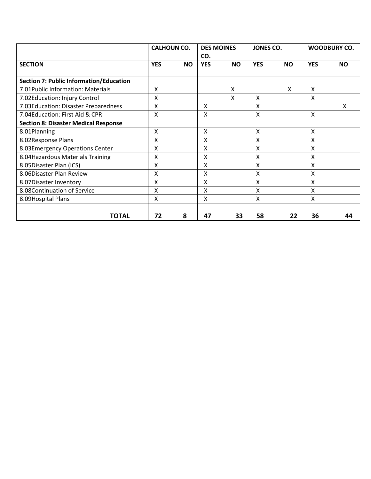|                                                | <b>CALHOUN CO.</b> |           | <b>DES MOINES</b> |           | JONES CO.  |           | <b>WOODBURY CO.</b> |           |
|------------------------------------------------|--------------------|-----------|-------------------|-----------|------------|-----------|---------------------|-----------|
|                                                |                    |           | CO.               |           |            |           |                     |           |
| <b>SECTION</b>                                 | <b>YES</b>         | <b>NO</b> | <b>YES</b>        | <b>NO</b> | <b>YES</b> | <b>NO</b> | <b>YES</b>          | <b>NO</b> |
|                                                |                    |           |                   |           |            |           |                     |           |
| <b>Section 7: Public Information/Education</b> |                    |           |                   |           |            |           |                     |           |
| 7.01 Public Information: Materials             | X                  |           |                   | Χ         |            | Χ         | X                   |           |
| 7.02Education: Injury Control                  | X                  |           |                   | X         | x          |           | X                   |           |
| 7.03Education: Disaster Preparedness           | X                  |           | X                 |           | X          |           |                     | X         |
| 7.04 Education: First Aid & CPR                | Χ                  |           | X                 |           | X          |           | X                   |           |
| <b>Section 8: Disaster Medical Response</b>    |                    |           |                   |           |            |           |                     |           |
| 8.01Planning                                   | $\mathsf{X}$       |           | $\mathsf{x}$      |           | $\sf X$    |           | $\mathsf{x}$        |           |
| 8.02Response Plans                             | X                  |           | X                 |           | Χ          |           | X                   |           |
| 8.03Emergency Operations Center                | X                  |           | X                 |           | Χ          |           | Χ                   |           |
| 8.04 Hazardous Materials Training              | Χ                  |           | x                 |           | x          |           | X                   |           |
| 8.05Disaster Plan (ICS)                        | Χ                  |           | X                 |           | Χ          |           | X                   |           |
| 8.06Disaster Plan Review                       | X                  |           | x                 |           | x          |           | X                   |           |
| 8.07Disaster Inventory                         | X                  |           | Χ                 |           | Χ          |           | X                   |           |
| 8.08Continuation of Service                    | X                  |           | x                 |           | x          |           | X                   |           |
| 8.09Hospital Plans                             | Χ                  |           | Χ                 |           | X          |           | X                   |           |
|                                                |                    |           |                   |           |            |           |                     |           |
| <b>TOTAL</b>                                   | 72                 | 8         | 47                | 33        | 58         | 22        | 36                  | 44        |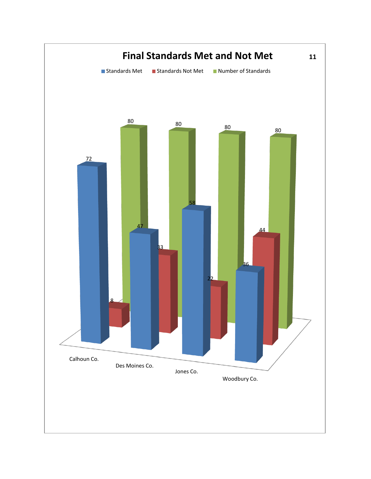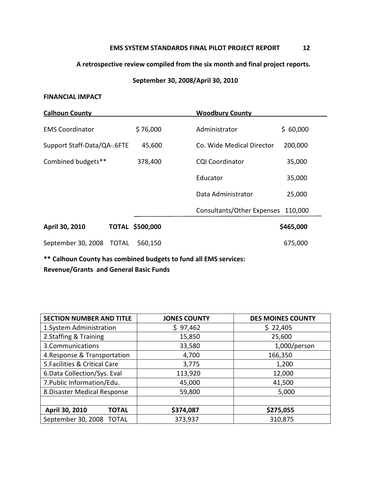#### **EMS SYSTEM STANDARDS FINAL PILOT PROJECT REPORT 12**

# **A retrospective review compiled from the six month and final project reports.**

# **September 30, 2008/April 30, 2010**

#### **FINANCIAL IMPACT**

| <b>Calhoun County</b>       |              |           | <b>Woodbury County</b>     |           |
|-----------------------------|--------------|-----------|----------------------------|-----------|
| <b>EMS Coordinator</b>      |              | \$76,000  | Administrator              | \$60,000  |
| Support Staff-Data/QA-.6FTE |              | 45,600    | Co. Wide Medical Director  | 200,000   |
| Combined budgets**          |              | 378,400   | <b>CQI Coordinator</b>     | 35,000    |
|                             |              |           | Educator                   | 35,000    |
|                             |              |           | Data Administrator         | 25,000    |
|                             |              |           | Consultants/Other Expenses | 110,000   |
| April 30, 2010              | <b>TOTAL</b> | \$500,000 |                            | \$465,000 |
| September 30, 2008          | <b>TOTAL</b> | 560,150   |                            | 675,000   |

**\*\* Calhoun County has combined budgets to fund all EMS services: Revenue/Grants and General Basic Funds**

| <b>SECTION NUMBER AND TITLE</b> | <b>JONES COUNTY</b> | <b>DES MOINES COUNTY</b> |  |  |
|---------------------------------|---------------------|--------------------------|--|--|
| 1. System Administration        | \$97,462            | \$22,405                 |  |  |
| 2.Staffing & Training           | 15,850              | 25,600                   |  |  |
| 3. Communications               | 33,580              | $1,000$ /person          |  |  |
| 4. Response & Transportation    | 4,700               | 166,350                  |  |  |
| 5. Facilities & Critical Care   | 3,775               | 1,200                    |  |  |
| 6. Data Collection/Sys. Eval    | 113,920             | 12,000                   |  |  |
| 7. Public Information/Edu.      | 45,000              | 41,500                   |  |  |
| 8. Disaster Medical Response    | 59,800              | 5,000                    |  |  |
|                                 |                     |                          |  |  |
| April 30, 2010<br><b>TOTAL</b>  | \$374,087           | \$275,055                |  |  |
| September 30, 2008 TOTAL        | 373,937             | 310,875                  |  |  |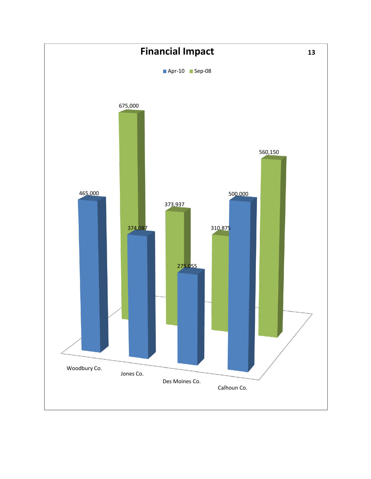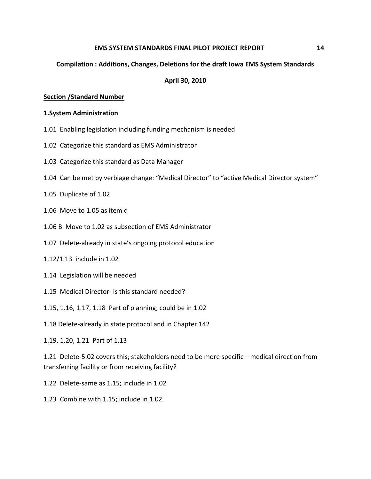#### **EMS SYSTEM STANDARDS FINAL PILOT PROJECT REPORT 14**

### **Compilation : Additions, Changes, Deletions for the draft Iowa EMS System Standards**

#### **April 30, 2010**

#### **Section /Standard Number**

#### **1.System Administration**

- 1.01 Enabling legislation including funding mechanism is needed
- 1.02 Categorize this standard as EMS Administrator
- 1.03 Categorize this standard as Data Manager
- 1.04 Can be met by verbiage change: "Medical Director" to "active Medical Director system"
- 1.05 Duplicate of 1.02
- 1.06 Move to 1.05 as item d
- 1.06 B Move to 1.02 as subsection of EMS Administrator
- 1.07 Delete-already in state's ongoing protocol education
- 1.12/1.13 include in 1.02
- 1.14 Legislation will be needed
- 1.15 Medical Director- is this standard needed?
- 1.15, 1.16, 1.17, 1.18 Part of planning; could be in 1.02
- 1.18 Delete-already in state protocol and in Chapter 142
- 1.19, 1.20, 1.21 Part of 1.13

1.21 Delete-5.02 covers this; stakeholders need to be more specific—medical direction from transferring facility or from receiving facility?

- 1.22 Delete-same as 1.15; include in 1.02
- 1.23 Combine with 1.15; include in 1.02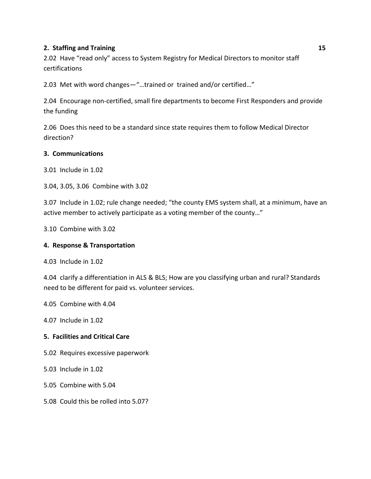# **2. Staffing and Training 15 and 16 and 16 and 16 and 16 and 16 and 16 and 16 and 16 and 16 and 16 and 16 and 16 and 16 and 16 and 16 and 16 and 16 and 16 and 16 and 16 and 16 and 16 and 16 and 16 and 16 and 16 and 16 and**

2.02 Have "read only" access to System Registry for Medical Directors to monitor staff certifications

2.03 Met with word changes—"…trained or trained and/or certified…"

2.04 Encourage non-certified, small fire departments to become First Responders and provide the funding

2.06 Does this need to be a standard since state requires them to follow Medical Director direction?

# **3. Communications**

3.01 Include in 1.02

3.04, 3.05, 3.06 Combine with 3.02

3.07 Include in 1.02; rule change needed; "the county EMS system shall, at a minimum, have an active member to actively participate as a voting member of the county…"

3.10 Combine with 3.02

# **4. Response & Transportation**

4.03 Include in 1.02

4.04 clarify a differentiation in ALS & BLS; How are you classifying urban and rural? Standards need to be different for paid vs. volunteer services.

4.05 Combine with 4.04

4.07 Include in 1.02

# **5. Facilities and Critical Care**

5.02 Requires excessive paperwork

5.03 Include in 1.02

5.05 Combine with 5.04

5.08 Could this be rolled into 5.07?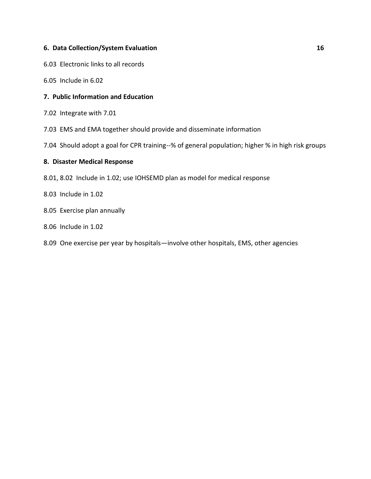# **6. Data Collection/System Evaluation 16 16**

6.03 Electronic links to all records

6.05 Include in 6.02

# **7. Public Information and Education**

- 7.02 Integrate with 7.01
- 7.03 EMS and EMA together should provide and disseminate information
- 7.04 Should adopt a goal for CPR training--% of general population; higher % in high risk groups

#### **8. Disaster Medical Response**

- 8.01, 8.02 Include in 1.02; use IOHSEMD plan as model for medical response
- 8.03 Include in 1.02
- 8.05 Exercise plan annually
- 8.06 Include in 1.02
- 8.09 One exercise per year by hospitals—involve other hospitals, EMS, other agencies